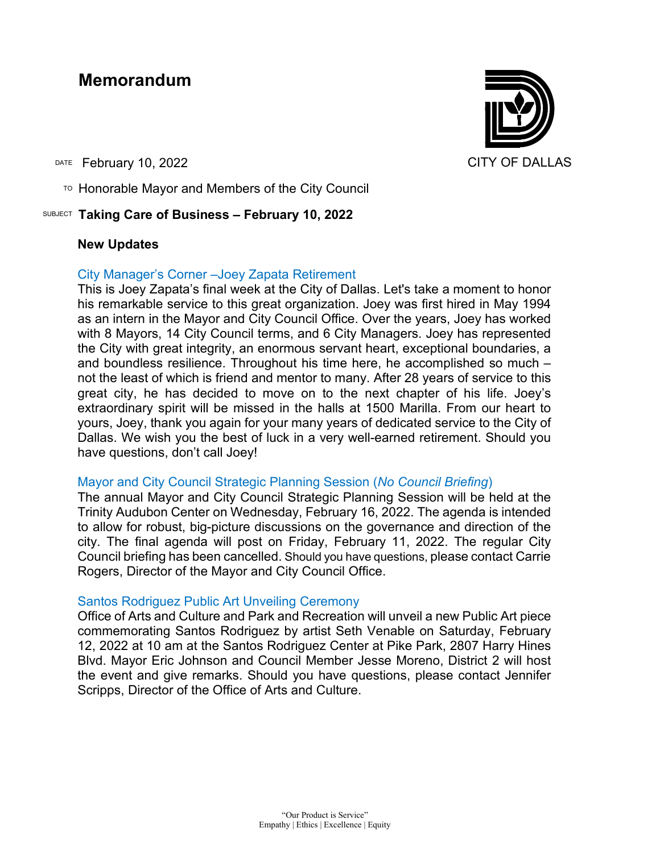# **Memorandum**

DATE February 10, 2022 CITY OF DALLAS

 $T$ <sup>O</sup> Honorable Mayor and Members of the City Council

## SUBJECT **Taking Care of Business – February 10, 2022**

#### **New Updates**

#### City Manager's Corner –Joey Zapata Retirement

This is Joey Zapata's final week at the City of Dallas. Let's take a moment to honor his remarkable service to this great organization. Joey was first hired in May 1994 as an intern in the Mayor and City Council Office. Over the years, Joey has worked with 8 Mayors, 14 City Council terms, and 6 City Managers. Joey has represented the City with great integrity, an enormous servant heart, exceptional boundaries, a and boundless resilience. Throughout his time here, he accomplished so much – not the least of which is friend and mentor to many. After 28 years of service to this great city, he has decided to move on to the next chapter of his life. Joey's extraordinary spirit will be missed in the halls at 1500 Marilla. From our heart to yours, Joey, thank you again for your many years of dedicated service to the City of Dallas. We wish you the best of luck in a very well-earned retirement. Should you have questions, don't call Joey!

#### Mayor and City Council Strategic Planning Session (*No Council Briefing*)

The annual Mayor and City Council Strategic Planning Session will be held at the Trinity Audubon Center on Wednesday, February 16, 2022. The agenda is intended to allow for robust, big-picture discussions on the governance and direction of the city. The final agenda will post on Friday, February 11, 2022. The regular City Council briefing has been cancelled. Should you have questions, please contact Carrie Rogers, Director of the Mayor and City Council Office.

#### Santos Rodriguez Public Art Unveiling Ceremony

Office of Arts and Culture and Park and Recreation will unveil a new Public Art piece commemorating Santos Rodriguez by artist Seth Venable on Saturday, February 12, 2022 at 10 am at the Santos Rodriguez Center at Pike Park, 2807 Harry Hines Blvd. Mayor Eric Johnson and Council Member Jesse Moreno, District 2 will host the event and give remarks. Should you have questions, please contact Jennifer Scripps, Director of the Office of Arts and Culture.

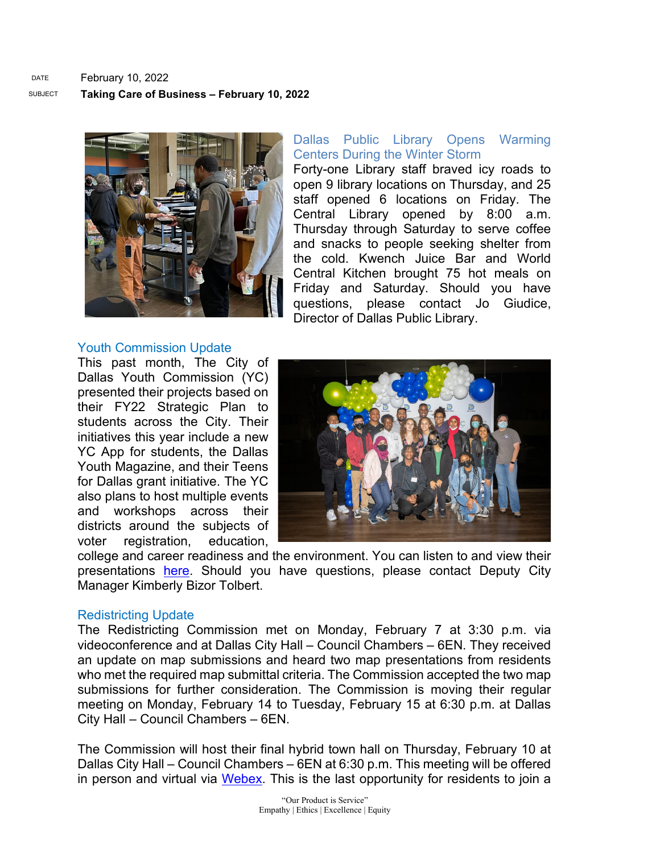

#### Youth Commission Update

This past month, The City of Dallas Youth Commission (YC) presented their projects based on their FY22 Strategic Plan to students across the City. Their initiatives this year include a new YC App for students, the Dallas Youth Magazine, and their Teens for Dallas grant initiative. The YC also plans to host multiple events and workshops across their districts around the subjects of voter registration, education,

## Dallas Public Library Opens Warming Centers During the Winter Storm

Forty-one Library staff braved icy roads to open 9 library locations on Thursday, and 25 staff opened 6 locations on Friday. The Central Library opened by 8:00 a.m. Thursday through Saturday to serve coffee and snacks to people seeking shelter from the cold. Kwench Juice Bar and World Central Kitchen brought 75 hot meals on Friday and Saturday. Should you have questions, please contact Jo Giudice, Director of Dallas Public Library.



college and career readiness and the environment. You can listen to and view their presentations [here.](https://gcc02.safelinks.protection.outlook.com/?url=https%3A%2F%2Fwww.youtube.com%2Fwatch%3Fv%3DsYMKtv7ALew&data=04%7C01%7Ctatjana.williams%40dallascityhall.com%7C7b77b1264eaa45f2205508d9e6a96071%7C2935709ec10c4809a302852d369f8700%7C0%7C0%7C637794437403961542%7CUnknown%7CTWFpbGZsb3d8eyJWIjoiMC4wLjAwMDAiLCJQIjoiV2luMzIiLCJBTiI6Ik1haWwiLCJXVCI6Mn0%3D%7C3000&sdata=25Qw%2FyDnBpN4BUa%2BU0sxHZPhImBY8DHx5hA6DcEyyRk%3D&reserved=0) Should you have questions, please contact Deputy City Manager Kimberly Bizor Tolbert.

#### Redistricting Update

The Redistricting Commission met on Monday, February 7 at 3:30 p.m. via videoconference and at Dallas City Hall – Council Chambers – 6EN. They received an update on map submissions and heard two map presentations from residents who met the required map submittal criteria. The Commission accepted the two map submissions for further consideration. The Commission is moving their regular meeting on Monday, February 14 to Tuesday, February 15 at 6:30 p.m. at Dallas City Hall – Council Chambers – 6EN.

The Commission will host their final hybrid town hall on Thursday, February 10 at Dallas City Hall – Council Chambers – 6EN at 6:30 p.m. This meeting will be offered in person and virtual via [Webex.](https://dallascityhall.webex.com/dallascityhall/onstage/g.php?MTID=e0e7d32a813f7f649207b7f695339bfc9) This is the last opportunity for residents to join a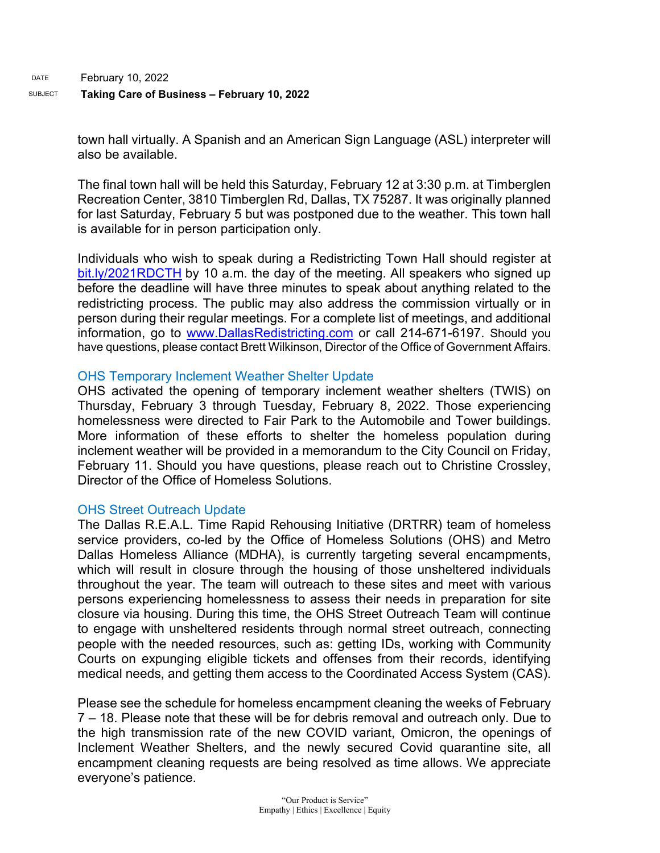town hall virtually. A Spanish and an American Sign Language (ASL) interpreter will also be available.

The final town hall will be held this Saturday, February 12 at 3:30 p.m. at Timberglen Recreation Center, 3810 Timberglen Rd, Dallas, TX 75287. It was originally planned for last Saturday, February 5 but was postponed due to the weather. This town hall is available for in person participation only.

Individuals who wish to speak during a Redistricting Town Hall should register at [bit.ly/2021RDCTH](https://gcc02.safelinks.protection.outlook.com/?url=https%3A%2F%2Fbit.ly%2F2021RDCTH&data=04%7C01%7Cc.gonzalezkurz%40dallascityhall.com%7C698923145958490b9ee808d9e04f8fad%7C2935709ec10c4809a302852d369f8700%7C0%7C0%7C637787454575351874%7CUnknown%7CTWFpbGZsb3d8eyJWIjoiMC4wLjAwMDAiLCJQIjoiV2luMzIiLCJBTiI6Ik1haWwiLCJXVCI6Mn0%3D%7C3000&sdata=yOQ8MaSqYZMTY2ndROvZbAA9aGpywaZJue2AZwbayQo%3D&reserved=0) by 10 a.m. the day of the meeting. All speakers who signed up before the deadline will have three minutes to speak about anything related to the redistricting process. The public may also address the commission virtually or in person during their regular meetings. For a complete list of meetings, and additional information, go to [www.DallasRedistricting.com](http://www.dallasredistricting.com/) or call 214-671-6197. Should you have questions, please contact Brett Wilkinson, Director of the Office of Government Affairs.

## OHS Temporary Inclement Weather Shelter Update

OHS activated the opening of temporary inclement weather shelters (TWIS) on Thursday, February 3 through Tuesday, February 8, 2022. Those experiencing homelessness were directed to Fair Park to the Automobile and Tower buildings. More information of these efforts to shelter the homeless population during inclement weather will be provided in a memorandum to the City Council on Friday, February 11. Should you have questions, please reach out to Christine Crossley, Director of the Office of Homeless Solutions.

## OHS Street Outreach Update

The Dallas R.E.A.L. Time Rapid Rehousing Initiative (DRTRR) team of homeless service providers, co-led by the Office of Homeless Solutions (OHS) and Metro Dallas Homeless Alliance (MDHA), is currently targeting several encampments, which will result in closure through the housing of those unsheltered individuals throughout the year. The team will outreach to these sites and meet with various persons experiencing homelessness to assess their needs in preparation for site closure via housing. During this time, the OHS Street Outreach Team will continue to engage with unsheltered residents through normal street outreach, connecting people with the needed resources, such as: getting IDs, working with Community Courts on expunging eligible tickets and offenses from their records, identifying medical needs, and getting them access to the Coordinated Access System (CAS).

Please see the schedule for homeless encampment cleaning the weeks of February 7 – 18. Please note that these will be for debris removal and outreach only. Due to the high transmission rate of the new COVID variant, Omicron, the openings of Inclement Weather Shelters, and the newly secured Covid quarantine site, all encampment cleaning requests are being resolved as time allows. We appreciate everyone's patience.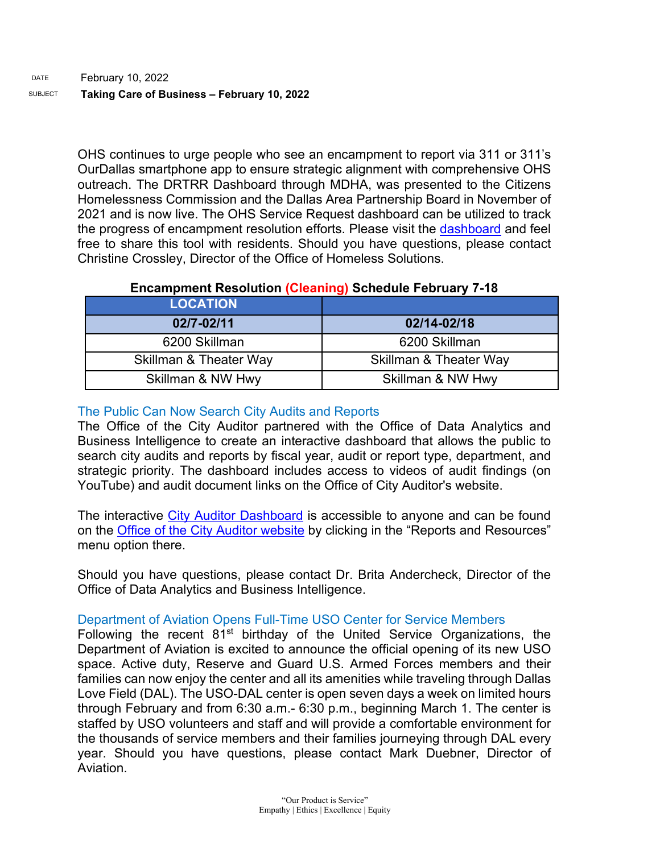OHS continues to urge people who see an encampment to report via 311 or 311's OurDallas smartphone app to ensure strategic alignment with comprehensive OHS outreach. The DRTRR Dashboard through MDHA, was presented to the Citizens Homelessness Commission and the Dallas Area Partnership Board in November of 2021 and is now live. The OHS Service Request dashboard can be utilized to track the progress of encampment resolution efforts. Please visit the [dashboard](https://gcc02.safelinks.protection.outlook.com/?url=https%3A%2F%2Fdallasgis.maps.arcgis.com%2Fapps%2Fopsdashboard%2Findex.html%23%2Fccd41f0d795f407a94ae17e2c27bf073&data=04%7C01%7CAmanda.Voigt%40dallascityhall.com%7C233f59f2284d4e1e889c08d9a94b7cdf%7C2935709ec10c4809a302852d369f8700%7C0%7C0%7C637726963939462025%7CUnknown%7CTWFpbGZsb3d8eyJWIjoiMC4wLjAwMDAiLCJQIjoiV2luMzIiLCJBTiI6Ik1haWwiLCJXVCI6Mn0%3D%7C3000&sdata=3mXj5FFXAaQ5gm0LtJvJ%2BhMNRJuWkhHc94WnkCk6QDc%3D&reserved=0) and feel free to share this tool with residents. Should you have questions, please contact Christine Crossley, Director of the Office of Homeless Solutions.

## **Encampment Resolution (Cleaning) Schedule February 7-18**

| <b>LOCATION</b>        |                        |
|------------------------|------------------------|
| 02/7-02/11             | 02/14-02/18            |
| 6200 Skillman          | 6200 Skillman          |
| Skillman & Theater Way | Skillman & Theater Way |
| Skillman & NW Hwy      | Skillman & NW Hwy      |

## The Public Can Now Search City Audits and Reports

The Office of the City Auditor partnered with the Office of Data Analytics and Business Intelligence to create an interactive dashboard that allows the public to search city audits and reports by fiscal year, audit or report type, department, and strategic priority. The dashboard includes access to videos of audit findings (on YouTube) and audit document links on the Office of City Auditor's website.

The interactive [City Auditor Dashboard](https://gcc02.safelinks.protection.outlook.com/?url=https%3A%2F%2Fdallascitydata.dallascityhall.com%2Fviews%2FCityAuditorDashboard_16391759206650%2FAuditorsDashboard%3F%3AshowAppBanner%3Dfalse%26%3Adisplay_count%3Dn%26%3AshowVizHome%3Dn%26%3Aorigin%3Dviz_share_link%26%3Arefresh%3Dyes%26%3AisGuestRedirectFromVizportal%3Dy%26%3Aembed%3Dy%231&data=04%7C01%7Cmaya.williams%40dallascityhall.com%7C1055a48f06be43f6c4ae08d9ea8075fa%7C2935709ec10c4809a302852d369f8700%7C0%7C0%7C637798659720072678%7CUnknown%7CTWFpbGZsb3d8eyJWIjoiMC4wLjAwMDAiLCJQIjoiV2luMzIiLCJBTiI6Ik1haWwiLCJXVCI6Mn0%3D%7C3000&sdata=wviwHPc7M1rFMph1XR77Ph0haWMWSTnkdCEx83vyNa4%3D&reserved=0) is accessible to anyone and can be found on the [Office of the City Auditor website](https://gcc02.safelinks.protection.outlook.com/?url=https%3A%2F%2Fdallascityhall.com%2Fdepartments%2Fauditor%2FPages%2Fdefault.aspx&data=04%7C01%7Cmaya.williams%40dallascityhall.com%7C1055a48f06be43f6c4ae08d9ea8075fa%7C2935709ec10c4809a302852d369f8700%7C0%7C0%7C637798659720072678%7CUnknown%7CTWFpbGZsb3d8eyJWIjoiMC4wLjAwMDAiLCJQIjoiV2luMzIiLCJBTiI6Ik1haWwiLCJXVCI6Mn0%3D%7C3000&sdata=VZljnAwu4BeRWLgLEorjB%2BdAXu5r0F0nURrmo1hJhus%3D&reserved=0) by clicking in the "Reports and Resources" menu option there.

Should you have questions, please contact Dr. Brita Andercheck, Director of the Office of Data Analytics and Business Intelligence.

## Department of Aviation Opens Full-Time USO Center for Service Members

Following the recent 81<sup>st</sup> birthday of the United Service Organizations, the Department of Aviation is excited to announce the official opening of its new USO space. Active duty, Reserve and Guard U.S. Armed Forces members and their families can now enjoy the center and all its amenities while traveling through Dallas Love Field (DAL). The USO-DAL center is open seven days a week on limited hours through February and from 6:30 a.m.- 6:30 p.m., beginning March 1. The center is staffed by USO volunteers and staff and will provide a comfortable environment for the thousands of service members and their families journeying through DAL every year. Should you have questions, please contact Mark Duebner, Director of Aviation.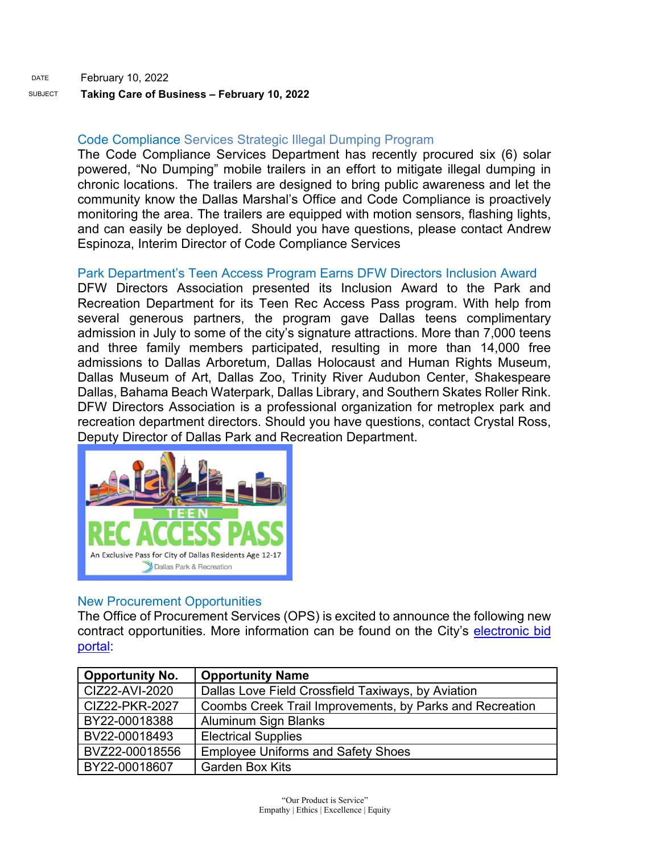## SUBJECT **Taking Care of Business – February 10, 2022**

# Code Compliance Services Strategic Illegal Dumping Program

The Code Compliance Services Department has recently procured six (6) solar powered, "No Dumping" mobile trailers in an effort to mitigate illegal dumping in chronic locations. The trailers are designed to bring public awareness and let the community know the Dallas Marshal's Office and Code Compliance is proactively monitoring the area. The trailers are equipped with motion sensors, flashing lights, and can easily be deployed. Should you have questions, please contact Andrew Espinoza, Interim Director of Code Compliance Services

# Park Department's Teen Access Program Earns DFW Directors Inclusion Award

DFW Directors Association presented its Inclusion Award to the Park and Recreation Department for its Teen Rec Access Pass program. With help from several generous partners, the program gave Dallas teens complimentary admission in July to some of the city's signature attractions. More than 7,000 teens and three family members participated, resulting in more than 14,000 free admissions to Dallas Arboretum, Dallas Holocaust and Human Rights Museum, Dallas Museum of Art, Dallas Zoo, Trinity River Audubon Center, Shakespeare Dallas, Bahama Beach Waterpark, Dallas Library, and Southern Skates Roller Rink. DFW Directors Association is a professional organization for metroplex park and recreation department directors. Should you have questions, contact Crystal Ross, Deputy Director of Dallas Park and Recreation Department.



## New Procurement Opportunities

The Office of Procurement Services (OPS) is excited to announce the following new contract opportunities. More information can be found on the City's [electronic bid](https://gcc02.safelinks.protection.outlook.com/?url=https%3A%2F%2Fdallascityhall.bonfirehub.com%2Fportal%2F%3Ftab%3DopenOpportunities&data=04%7C01%7Crakeba.gordon%40dallascityhall.com%7Ca04de33ec62e40de5d0f08d9eb114533%7C2935709ec10c4809a302852d369f8700%7C0%7C0%7C637799281671406705%7CUnknown%7CTWFpbGZsb3d8eyJWIjoiMC4wLjAwMDAiLCJQIjoiV2luMzIiLCJBTiI6Ik1haWwiLCJXVCI6Mn0%3D%7C3000&sdata=tk3x2o%2F%2BLmOF3ALiYVf%2BoCEsDhlnctoHFDaH5Y8JmyY%3D&reserved=0)  [portal:](https://gcc02.safelinks.protection.outlook.com/?url=https%3A%2F%2Fdallascityhall.bonfirehub.com%2Fportal%2F%3Ftab%3DopenOpportunities&data=04%7C01%7Crakeba.gordon%40dallascityhall.com%7Ca04de33ec62e40de5d0f08d9eb114533%7C2935709ec10c4809a302852d369f8700%7C0%7C0%7C637799281671406705%7CUnknown%7CTWFpbGZsb3d8eyJWIjoiMC4wLjAwMDAiLCJQIjoiV2luMzIiLCJBTiI6Ik1haWwiLCJXVCI6Mn0%3D%7C3000&sdata=tk3x2o%2F%2BLmOF3ALiYVf%2BoCEsDhlnctoHFDaH5Y8JmyY%3D&reserved=0)

| <b>Opportunity No.</b> | <b>Opportunity Name</b>                                  |
|------------------------|----------------------------------------------------------|
| CIZ22-AVI-2020         | Dallas Love Field Crossfield Taxiways, by Aviation       |
| CIZ22-PKR-2027         | Coombs Creek Trail Improvements, by Parks and Recreation |
| BY22-00018388          | Aluminum Sign Blanks                                     |
| BV22-00018493          | <b>Electrical Supplies</b>                               |
| BVZ22-00018556         | <b>Employee Uniforms and Safety Shoes</b>                |
| BY22-00018607          | <b>Garden Box Kits</b>                                   |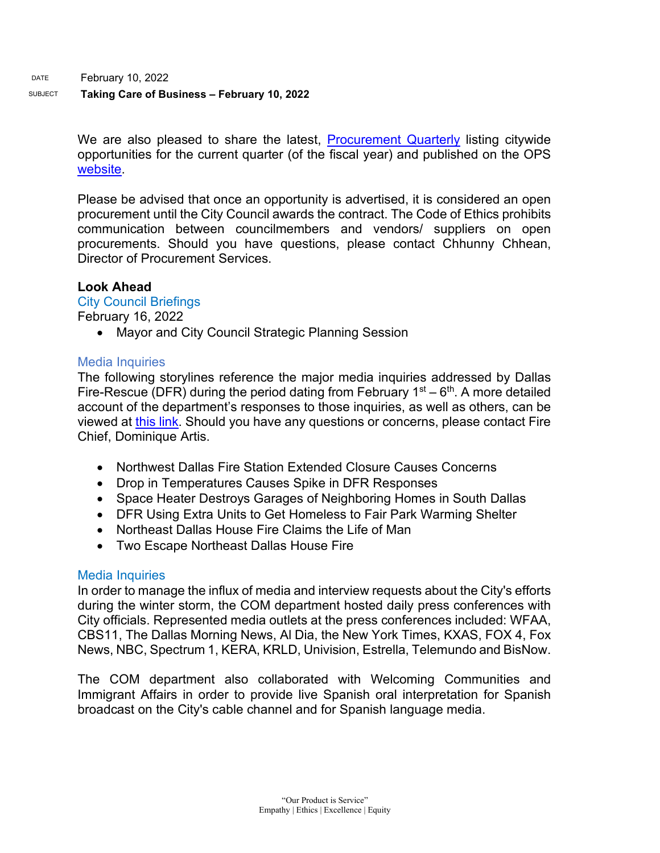DATE February 10, 2022

## SUBJECT **Taking Care of Business – February 10, 2022**

We are also pleased to share the latest, [Procurement Quarterly](https://gcc02.safelinks.protection.outlook.com/?url=https%3A%2F%2Fdallascityhall.com%2Fdepartments%2Fprocurement%2FPublishingImages%2FPages%2Fdefault%2FProcurement%2520Quarterly%2520Forecast%2520FY22%2520Q2.pdf&data=04%7C01%7Crakeba.gordon%40dallascityhall.com%7Ca04de33ec62e40de5d0f08d9eb114533%7C2935709ec10c4809a302852d369f8700%7C0%7C0%7C637799281671406705%7CUnknown%7CTWFpbGZsb3d8eyJWIjoiMC4wLjAwMDAiLCJQIjoiV2luMzIiLCJBTiI6Ik1haWwiLCJXVCI6Mn0%3D%7C3000&sdata=dshGeTB8PFdJQVOR9zmbHkxC1aCBUdMnquChn4ghlWU%3D&reserved=0) listing citywide opportunities for the current quarter (of the fiscal year) and published on the OPS [website.](https://gcc02.safelinks.protection.outlook.com/?url=https%3A%2F%2Fdallascityhall.com%2Fdepartments%2Fprocurement%2FPages%2Fdefault.aspx&data=04%7C01%7Crakeba.gordon%40dallascityhall.com%7Ca04de33ec62e40de5d0f08d9eb114533%7C2935709ec10c4809a302852d369f8700%7C0%7C0%7C637799281671562493%7CUnknown%7CTWFpbGZsb3d8eyJWIjoiMC4wLjAwMDAiLCJQIjoiV2luMzIiLCJBTiI6Ik1haWwiLCJXVCI6Mn0%3D%7C3000&sdata=lv6nCCW965KHsUjQ3kL4XpkE0hGBQ3y0oCE4UUS5F8E%3D&reserved=0)

Please be advised that once an opportunity is advertised, it is considered an open procurement until the City Council awards the contract. The Code of Ethics prohibits communication between councilmembers and vendors/ suppliers on open procurements. Should you have questions, please contact Chhunny Chhean, Director of Procurement Services.

#### **Look Ahead**

#### City Council Briefings

February 16, 2022

• Mayor and City Council Strategic Planning Session

#### Media Inquiries

The following storylines reference the major media inquiries addressed by Dallas Fire-Rescue (DFR) during the period dating from February  $1<sup>st</sup> - 6<sup>th</sup>$ . A more detailed account of the department's responses to those inquiries, as well as others, can be viewed at [this link.](https://gcc02.safelinks.protection.outlook.com/ap/w-59584e83/?url=https%3A%2F%2Fdallastxgov-my.sharepoint.com%2F%3Aw%3A%2Fg%2Fpersonal%2Fjason_evans_dallascityhall_com%2FEVpqnPgtM81Ojl4Vc6IbyTEBG5La7BlYCQRoJqbfAIIFmA%3Fe%3DZoQG6z&data=04%7C01%7Cjason.evans%40dallascityhall.com%7C209aa57ee83f48ea70c408d9eb1aa721%7C2935709ec10c4809a302852d369f8700%7C0%7C0%7C637799321961235926%7CUnknown%7CTWFpbGZsb3d8eyJWIjoiMC4wLjAwMDAiLCJQIjoiV2luMzIiLCJBTiI6Ik1haWwiLCJXVCI6Mn0%3D%7C3000&sdata=Dtuvl3P%2B9ASTdqBmXGkMgIfX%2BoBkOgP%2FL9GomPlnbXg%3D&reserved=0) Should you have any questions or concerns, please contact Fire Chief, Dominique Artis.

- Northwest Dallas Fire Station Extended Closure Causes Concerns
- Drop in Temperatures Causes Spike in DFR Responses
- Space Heater Destroys Garages of Neighboring Homes in South Dallas
- DFR Using Extra Units to Get Homeless to Fair Park Warming Shelter
- Northeast Dallas House Fire Claims the Life of Man
- Two Escape Northeast Dallas House Fire

#### Media Inquiries

In order to manage the influx of media and interview requests about the City's efforts during the winter storm, the COM department hosted daily press conferences with City officials. Represented media outlets at the press conferences included: WFAA, CBS11, The Dallas Morning News, Al Dia, the New York Times, KXAS, FOX 4, Fox News, NBC, Spectrum 1, KERA, KRLD, Univision, Estrella, Telemundo and BisNow.

The COM department also collaborated with Welcoming Communities and Immigrant Affairs in order to provide live Spanish oral interpretation for Spanish broadcast on the City's cable channel and for Spanish language media.